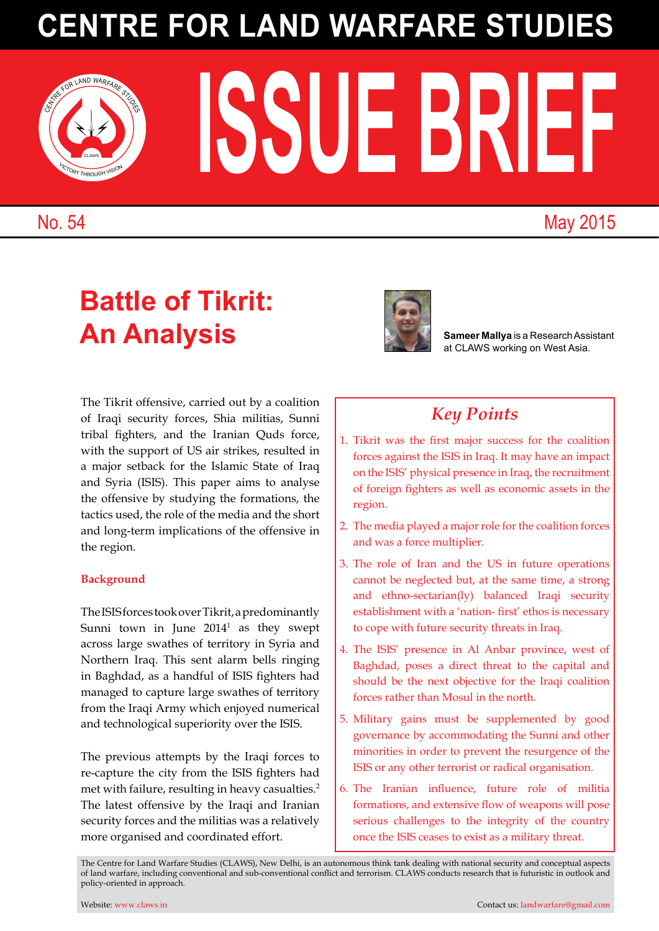# **Centre for Land Warfare Studies**

## **Battle of Tikrit: An Analysis Sameer Mallya** is a Research Assistant

The Tikrit offensive, carried out by a coalition of Iraqi security forces, Shia militias, Sunni tribal fighters, and the Iranian Quds force, with the support of US air strikes, resulted in a major setback for the Islamic State of Iraq and Syria (ISIS). This paper aims to analyse the offensive by studying the formations, the tactics used, the role of the media and the short and long-term implications of the offensive in the region.

#### **Background**

TheISISforcestookoverTikrit,apredominantly Sunni town in June  $2014<sup>1</sup>$  as they swept across large swathes of territory in Syria and Northern Iraq. This sent alarm bells ringing in Baghdad, as a handful of ISIS fighters had managed to capture large swathes of territory from the Iraqi Army which enjoyed numerical and technological superiority over the ISIS.

The previous attempts by the Iraqi forces to re-capture the city from the ISIS fighters had met with failure, resulting in heavy casualties.<sup>2</sup> The latest offensive by the Iraqi and Iranian security forces and the militias was a relatively more organised and coordinated effort.

at CLAWS working on West Asia.

### *Key Points*

- 1. Tikrit was the first major success for the coalition forces against the ISIS in Iraq. It may have an impact on the ISIS' physical presence in Iraq, the recruitment of foreign fighters as well as economic assets in the region.
- 2. The media played a major role for the coalition forces and was a force multiplier.
- 3. The role of Iran and the US in future operations cannot be neglected but, at the same time, a strong and ethno-sectarian(ly) balanced Iraqi security establishment with a 'nation- first' ethos is necessary to cope with future security threats in Iraq.
- 4. The ISIS' presence in Al Anbar province, west of Baghdad, poses a direct threat to the capital and should be the next objective for the Iraqi coalition forces rather than Mosul in the north.
- 5. Military gains must be supplemented by good governance by accommodating the Sunni and other minorities in order to prevent the resurgence of the ISIS or any other terrorist or radical organisation.
- 6. The Iranian influence, future role of militia formations, and extensive flow of weapons will pose serious challenges to the integrity of the country once the ISIS ceases to exist as a military threat.

The Centre for Land Warfare Studies (CLAWS), New Delhi, is an autonomous think tank dealing with national security and conceptual aspects of land warfare, including conventional and sub-conventional conflict and terrorism. CLAWS conducts research that is futuristic in outlook and policy-oriented in approach.





## No. 54 May 2015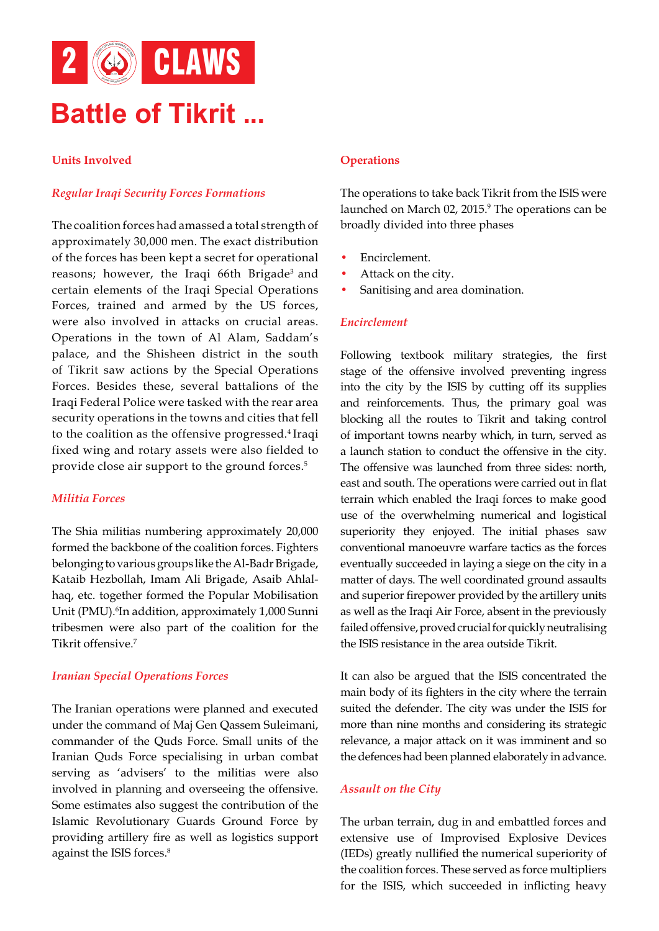

#### **Units Involved**

#### *Regular Iraqi Security Forces Formations*

The coalition forces had amassed a total strength of approximately 30,000 men. The exact distribution of the forces has been kept a secret for operational reasons; however, the Iraqi 66th Brigade<sup>3</sup> and certain elements of the Iraqi Special Operations Forces, trained and armed by the US forces, were also involved in attacks on crucial areas. Operations in the town of Al Alam, Saddam's palace, and the Shisheen district in the south of Tikrit saw actions by the Special Operations Forces. Besides these, several battalions of the Iraqi Federal Police were tasked with the rear area security operations in the towns and cities that fell to the coalition as the offensive progressed.<sup>4</sup> Iraqi fixed wing and rotary assets were also fielded to provide close air support to the ground forces.<sup>5</sup>

#### *Militia Forces*

The Shia militias numbering approximately 20,000 formed the backbone of the coalition forces. Fighters belonging to various groups like the Al-Badr Brigade, Kataib Hezbollah, Imam Ali Brigade, Asaib Ahlalhaq, etc. together formed the Popular Mobilisation Unit (PMU).<sup>6</sup>In addition, approximately 1,000 Sunni tribesmen were also part of the coalition for the Tikrit offensive.<sup>7</sup>

#### *Iranian Special Operations Forces*

The Iranian operations were planned and executed under the command of Maj Gen Qassem Suleimani, commander of the Quds Force. Small units of the Iranian Quds Force specialising in urban combat serving as 'advisers' to the militias were also involved in planning and overseeing the offensive. Some estimates also suggest the contribution of the Islamic Revolutionary Guards Ground Force by providing artillery fire as well as logistics support against the ISIS forces.<sup>8</sup>

#### **Operations**

The operations to take back Tikrit from the ISIS were launched on March 02, 2015.<sup>9</sup> The operations can be broadly divided into three phases

- Encirclement.
- Attack on the city.
- Sanitising and area domination.

#### *Encirclement*

Following textbook military strategies, the first stage of the offensive involved preventing ingress into the city by the ISIS by cutting off its supplies and reinforcements. Thus, the primary goal was blocking all the routes to Tikrit and taking control of important towns nearby which, in turn, served as a launch station to conduct the offensive in the city. The offensive was launched from three sides: north, east and south. The operations were carried out in flat terrain which enabled the Iraqi forces to make good use of the overwhelming numerical and logistical superiority they enjoyed. The initial phases saw conventional manoeuvre warfare tactics as the forces eventually succeeded in laying a siege on the city in a matter of days. The well coordinated ground assaults and superior firepower provided by the artillery units as well as the Iraqi Air Force, absent in the previously failed offensive, proved crucial for quickly neutralising the ISIS resistance in the area outside Tikrit.

It can also be argued that the ISIS concentrated the main body of its fighters in the city where the terrain suited the defender. The city was under the ISIS for more than nine months and considering its strategic relevance, a major attack on it was imminent and so the defences had been planned elaborately in advance.

#### *Assault on the City*

The urban terrain, dug in and embattled forces and extensive use of Improvised Explosive Devices (IEDs) greatly nullified the numerical superiority of the coalition forces. These served as force multipliers for the ISIS, which succeeded in inflicting heavy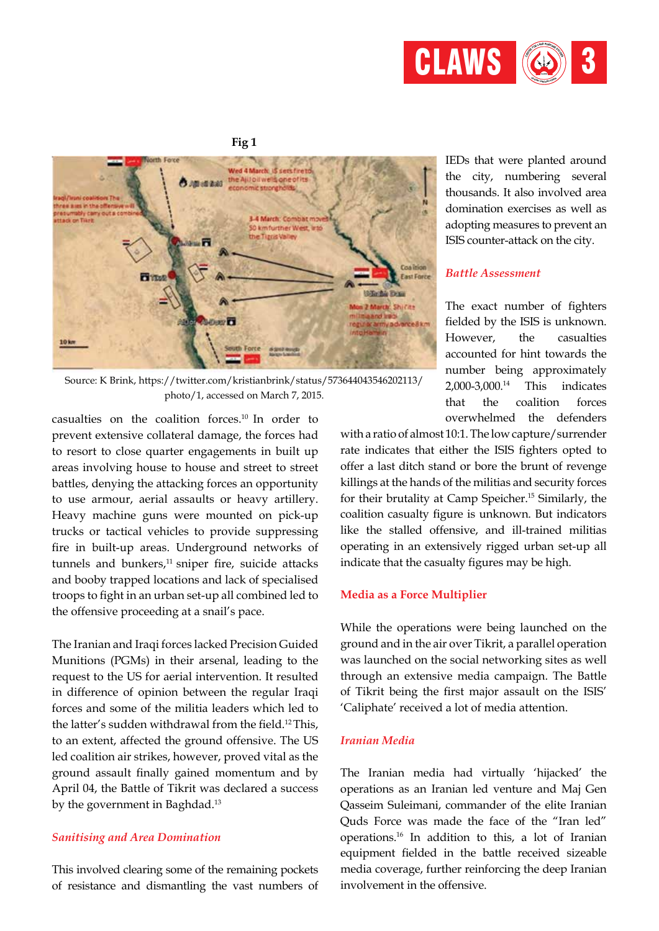

**Fig 1**



Source: K Brink, https://twitter.com/kristianbrink/status/573644043546202113/ photo/1, accessed on March 7, 2015.

casualties on the coalition forces.10 In order to prevent extensive collateral damage, the forces had to resort to close quarter engagements in built up areas involving house to house and street to street battles, denying the attacking forces an opportunity to use armour, aerial assaults or heavy artillery. Heavy machine guns were mounted on pick-up trucks or tactical vehicles to provide suppressing fire in built-up areas. Underground networks of tunnels and bunkers, $11$  sniper fire, suicide attacks and booby trapped locations and lack of specialised troops to fight in an urban set-up all combined led to the offensive proceeding at a snail's pace.

The Iranian and Iraqi forces lacked Precision Guided Munitions (PGMs) in their arsenal, leading to the request to the US for aerial intervention. It resulted in difference of opinion between the regular Iraqi forces and some of the militia leaders which led to the latter's sudden withdrawal from the field.<sup>12</sup>This, to an extent, affected the ground offensive. The US led coalition air strikes, however, proved vital as the ground assault finally gained momentum and by April 04, the Battle of Tikrit was declared a success by the government in Baghdad.<sup>13</sup>

#### *Sanitising and Area Domination*

This involved clearing some of the remaining pockets of resistance and dismantling the vast numbers of

IEDs that were planted around the city, numbering several thousands. It also involved area domination exercises as well as adopting measures to prevent an ISIS counter-attack on the city.

#### *Battle Assessment*

The exact number of fighters fielded by the ISIS is unknown. However, the casualties accounted for hint towards the number being approximately 2,000-3,000.<sup>14</sup> This indicates that the coalition forces overwhelmed the defenders

with a ratio of almost 10:1.The low capture/surrender rate indicates that either the ISIS fighters opted to offer a last ditch stand or bore the brunt of revenge killings at the hands of the militias and security forces for their brutality at Camp Speicher.<sup>15</sup> Similarly, the coalition casualty figure is unknown. But indicators like the stalled offensive, and ill-trained militias operating in an extensively rigged urban set-up all indicate that the casualty figures may be high.

#### **Media as a Force Multiplier**

While the operations were being launched on the ground and in the air over Tikrit, a parallel operation was launched on the social networking sites as well through an extensive media campaign. The Battle of Tikrit being the first major assault on the ISIS' 'Caliphate' received a lot of media attention.

#### *Iranian Media*

The Iranian media had virtually 'hijacked' the operations as an Iranian led venture and Maj Gen Qasseim Suleimani, commander of the elite Iranian Quds Force was made the face of the "Iran led" operations.<sup>16</sup> In addition to this, a lot of Iranian equipment fielded in the battle received sizeable media coverage, further reinforcing the deep Iranian involvement in the offensive.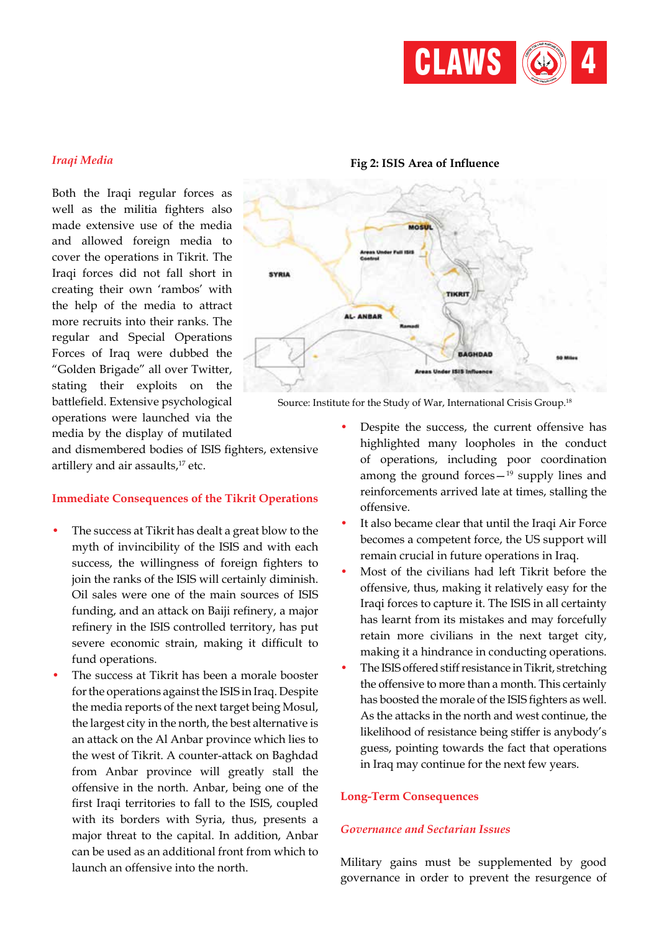

#### *Iraqi Media*

Both the Iraqi regular forces as well as the militia fighters also made extensive use of the media and allowed foreign media to cover the operations in Tikrit. The Iraqi forces did not fall short in creating their own 'rambos' with the help of the media to attract more recruits into their ranks. The regular and Special Operations Forces of Iraq were dubbed the "Golden Brigade" all over Twitter, stating their exploits on the battlefield. Extensive psychological operations were launched via the media by the display of mutilated

and dismembered bodies of ISIS fighters, extensive artillery and air assaults, $17$  etc.

#### **Immediate Consequences of the Tikrit Operations**

- The success at Tikrit has dealt a great blow to the myth of invincibility of the ISIS and with each success, the willingness of foreign fighters to join the ranks of the ISIS will certainly diminish. Oil sales were one of the main sources of ISIS funding, and an attack on Baiji refinery, a major refinery in the ISIS controlled territory, has put severe economic strain, making it difficult to fund operations.
- The success at Tikrit has been a morale booster for the operations against the ISIS in Iraq. Despite the media reports of the next target being Mosul, the largest city in the north, the best alternative is an attack on the Al Anbar province which lies to the west of Tikrit. A counter-attack on Baghdad from Anbar province will greatly stall the offensive in the north. Anbar, being one of the first Iraqi territories to fall to the ISIS, coupled with its borders with Syria, thus, presents a major threat to the capital. In addition, Anbar can be used as an additional front from which to launch an offensive into the north.

# SYRIA **AMBAI BAGHDAD** ISIS 5

**Fig 2: ISIS Area of Influence**

Source: Institute for the Study of War, International Crisis Group.<sup>18</sup>

- Despite the success, the current offensive has highlighted many loopholes in the conduct of operations, including poor coordination among the ground forces $-19$  supply lines and reinforcements arrived late at times, stalling the offensive.
- It also became clear that until the Iraqi Air Force becomes a competent force, the US support will remain crucial in future operations in Iraq.
- Most of the civilians had left Tikrit before the offensive, thus, making it relatively easy for the Iraqi forces to capture it. The ISIS in all certainty has learnt from its mistakes and may forcefully retain more civilians in the next target city, making it a hindrance in conducting operations.
- The ISIS offered stiff resistance in Tikrit, stretching the offensive to more than a month. This certainly has boosted the morale of the ISIS fighters as well. As the attacks in the north and west continue, the likelihood of resistance being stiffer is anybody's guess, pointing towards the fact that operations in Iraq may continue for the next few years.

#### **Long-Term Consequences**

#### *Governance and Sectarian Issues*

Military gains must be supplemented by good governance in order to prevent the resurgence of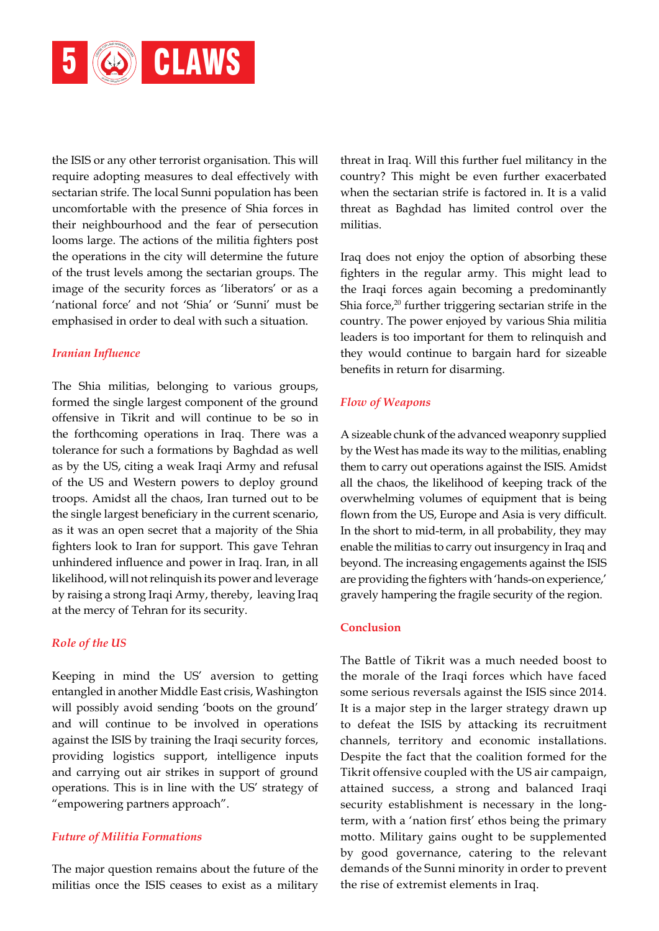

the ISIS or any other terrorist organisation. This will require adopting measures to deal effectively with sectarian strife. The local Sunni population has been uncomfortable with the presence of Shia forces in their neighbourhood and the fear of persecution looms large. The actions of the militia fighters post the operations in the city will determine the future of the trust levels among the sectarian groups. The image of the security forces as 'liberators' or as a 'national force' and not 'Shia' or 'Sunni' must be emphasised in order to deal with such a situation.

#### *Iranian Influence*

The Shia militias, belonging to various groups, formed the single largest component of the ground offensive in Tikrit and will continue to be so in the forthcoming operations in Iraq. There was a tolerance for such a formations by Baghdad as well as by the US, citing a weak Iraqi Army and refusal of the US and Western powers to deploy ground troops. Amidst all the chaos, Iran turned out to be the single largest beneficiary in the current scenario, as it was an open secret that a majority of the Shia fighters look to Iran for support. This gave Tehran unhindered influence and power in Iraq. Iran, in all likelihood, will not relinquish its power and leverage by raising a strong Iraqi Army, thereby, leaving Iraq at the mercy of Tehran for its security.

#### *Role of the US*

Keeping in mind the US' aversion to getting entangled in another Middle East crisis, Washington will possibly avoid sending 'boots on the ground' and will continue to be involved in operations against the ISIS by training the Iraqi security forces, providing logistics support, intelligence inputs and carrying out air strikes in support of ground operations. This is in line with the US' strategy of "empowering partners approach".

#### *Future of Militia Formations*

The major question remains about the future of the militias once the ISIS ceases to exist as a military threat in Iraq. Will this further fuel militancy in the country? This might be even further exacerbated when the sectarian strife is factored in. It is a valid threat as Baghdad has limited control over the militias.

Iraq does not enjoy the option of absorbing these fighters in the regular army. This might lead to the Iraqi forces again becoming a predominantly Shia force, $20$  further triggering sectarian strife in the country. The power enjoyed by various Shia militia leaders is too important for them to relinquish and they would continue to bargain hard for sizeable benefits in return for disarming.

#### *Flow of Weapons*

A sizeable chunk of the advanced weaponry supplied by the West has made its way to the militias, enabling them to carry out operations against the ISIS. Amidst all the chaos, the likelihood of keeping track of the overwhelming volumes of equipment that is being flown from the US, Europe and Asia is very difficult. In the short to mid-term, in all probability, they may enable the militias to carry out insurgency in Iraq and beyond. The increasing engagements against the ISIS are providing the fighters with 'hands-on experience,' gravely hampering the fragile security of the region.

#### **Conclusion**

The Battle of Tikrit was a much needed boost to the morale of the Iraqi forces which have faced some serious reversals against the ISIS since 2014. It is a major step in the larger strategy drawn up to defeat the ISIS by attacking its recruitment channels, territory and economic installations. Despite the fact that the coalition formed for the Tikrit offensive coupled with the US air campaign, attained success, a strong and balanced Iraqi security establishment is necessary in the longterm, with a 'nation first' ethos being the primary motto. Military gains ought to be supplemented by good governance, catering to the relevant demands of the Sunni minority in order to prevent the rise of extremist elements in Iraq.